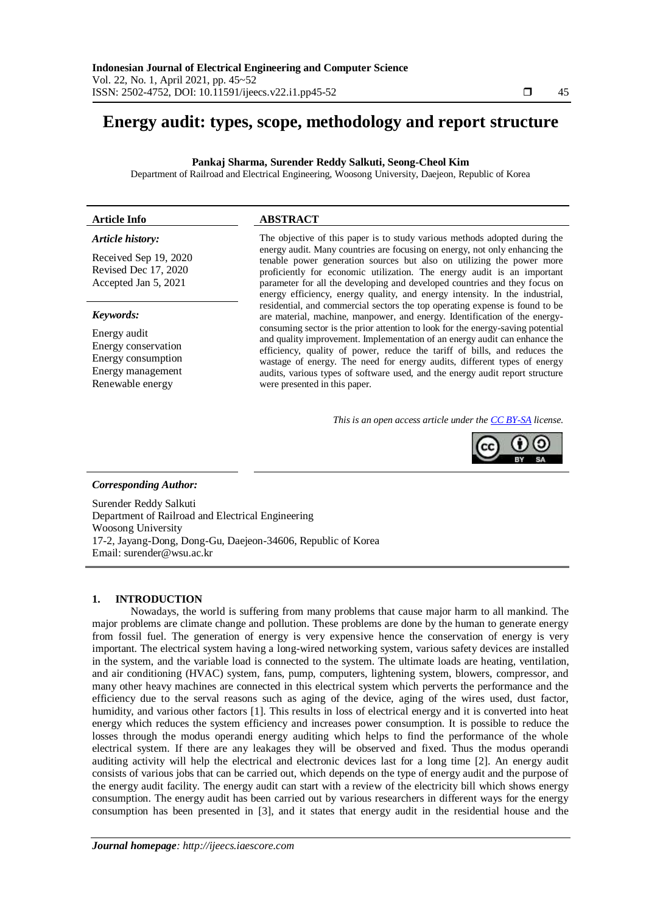# **Energy audit: types, scope, methodology and report structure**

**Pankaj Sharma, Surender Reddy Salkuti, Seong-Cheol Kim**

Department of Railroad and Electrical Engineering, Woosong University, Daejeon, Republic of Korea

# **Article Info ABSTRACT**

# *Article history:*

Received Sep 19, 2020 Revised Dec 17, 2020 Accepted Jan 5, 2021

## *Keywords:*

Energy audit Energy conservation Energy consumption Energy management Renewable energy

The objective of this paper is to study various methods adopted during the energy audit. Many countries are focusing on energy, not only enhancing the tenable power generation sources but also on utilizing the power more proficiently for economic utilization. The energy audit is an important parameter for all the developing and developed countries and they focus on energy efficiency, energy quality, and energy intensity. In the industrial, residential, and commercial sectors the top operating expense is found to be are material, machine, manpower, and energy. Identification of the energyconsuming sector is the prior attention to look for the energy-saving potential and quality improvement. Implementation of an energy audit can enhance the efficiency, quality of power, reduce the tariff of bills, and reduces the wastage of energy. The need for energy audits, different types of energy audits, various types of software used, and the energy audit report structure were presented in this paper.

*This is an open access article under the [CC BY-SA](https://creativecommons.org/licenses/by-sa/4.0/) license.*



## *Corresponding Author:*

Surender Reddy Salkuti Department of Railroad and Electrical Engineering Woosong University 17-2, Jayang-Dong, Dong-Gu, Daejeon-34606, Republic of Korea Email: [surender@wsu.ac.kr](mailto:surender@wsu.ac.kr)

## **1. INTRODUCTION**

Nowadays, the world is suffering from many problems that cause major harm to all mankind. The major problems are climate change and pollution. These problems are done by the human to generate energy from fossil fuel. The generation of energy is very expensive hence the conservation of energy is very important. The electrical system having a long-wired networking system, various safety devices are installed in the system, and the variable load is connected to the system. The ultimate loads are heating, ventilation, and air conditioning (HVAC) system, fans, pump, computers, lightening system, blowers, compressor, and many other heavy machines are connected in this electrical system which perverts the performance and the efficiency due to the serval reasons such as aging of the device, aging of the wires used, dust factor, humidity, and various other factors [1]. This results in loss of electrical energy and it is converted into heat energy which reduces the system efficiency and increases power consumption. It is possible to reduce the losses through the modus operandi energy auditing which helps to find the performance of the whole electrical system. If there are any leakages they will be observed and fixed. Thus the modus operandi auditing activity will help the electrical and electronic devices last for a long time [2]. An energy audit consists of various jobs that can be carried out, which depends on the type of energy audit and the purpose of the energy audit facility. The energy audit can start with a review of the electricity bill which shows energy consumption. The energy audit has been carried out by various researchers in different ways for the energy consumption has been presented in [3], and it states that energy audit in the residential house and the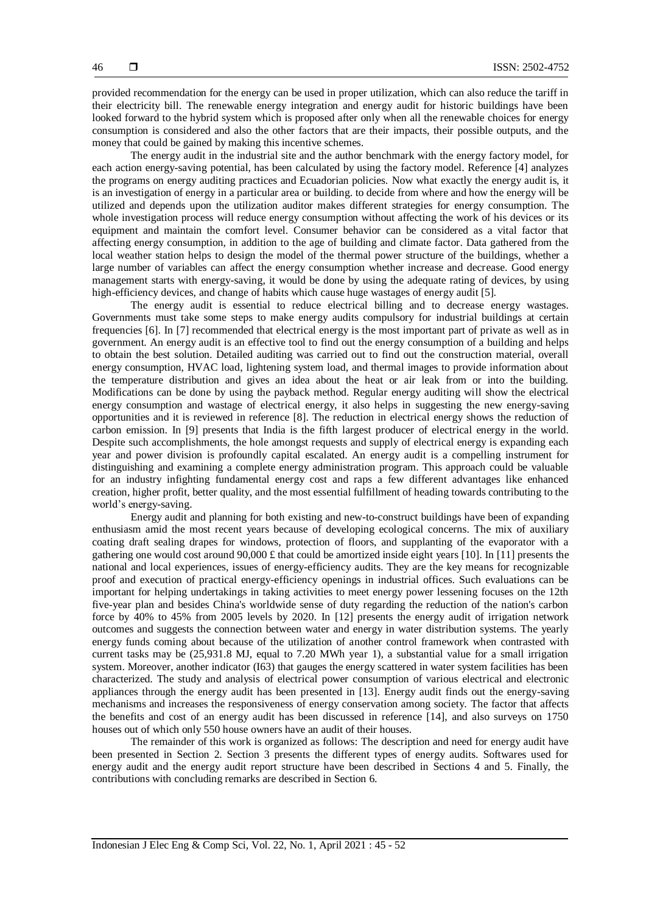provided recommendation for the energy can be used in proper utilization, which can also reduce the tariff in their electricity bill. The renewable energy integration and energy audit for historic buildings have been looked forward to the hybrid system which is proposed after only when all the renewable choices for energy consumption is considered and also the other factors that are their impacts, their possible outputs, and the money that could be gained by making this incentive schemes.

The energy audit in the industrial site and the author benchmark with the energy factory model, for each action energy-saving potential, has been calculated by using the factory model. Reference [4] analyzes the programs on energy auditing practices and Ecuadorian policies. Now what exactly the energy audit is, it is an investigation of energy in a particular area or building. to decide from where and how the energy will be utilized and depends upon the utilization auditor makes different strategies for energy consumption. The whole investigation process will reduce energy consumption without affecting the work of his devices or its equipment and maintain the comfort level. Consumer behavior can be considered as a vital factor that affecting energy consumption, in addition to the age of building and climate factor. Data gathered from the local weather station helps to design the model of the thermal power structure of the buildings, whether a large number of variables can affect the energy consumption whether increase and decrease. Good energy management starts with energy-saving, it would be done by using the adequate rating of devices, by using high-efficiency devices, and change of habits which cause huge wastages of energy audit [5].

The energy audit is essential to reduce electrical billing and to decrease energy wastages. Governments must take some steps to make energy audits compulsory for industrial buildings at certain frequencies [6]. In [7] recommended that electrical energy is the most important part of private as well as in government. An energy audit is an effective tool to find out the energy consumption of a building and helps to obtain the best solution. Detailed auditing was carried out to find out the construction material, overall energy consumption, HVAC load, lightening system load, and thermal images to provide information about the temperature distribution and gives an idea about the heat or air leak from or into the building. Modifications can be done by using the payback method. Regular energy auditing will show the electrical energy consumption and wastage of electrical energy, it also helps in suggesting the new energy-saving opportunities and it is reviewed in reference [8]. The reduction in electrical energy shows the reduction of carbon emission. In [9] presents that India is the fifth largest producer of electrical energy in the world. Despite such accomplishments, the hole amongst requests and supply of electrical energy is expanding each year and power division is profoundly capital escalated. An energy audit is a compelling instrument for distinguishing and examining a complete energy administration program. This approach could be valuable for an industry infighting fundamental energy cost and raps a few different advantages like enhanced creation, higher profit, better quality, and the most essential fulfillment of heading towards contributing to the world's energy-saving.

Energy audit and planning for both existing and new-to-construct buildings have been of expanding enthusiasm amid the most recent years because of developing ecological concerns. The mix of auxiliary coating draft sealing drapes for windows, protection of floors, and supplanting of the evaporator with a gathering one would cost around 90,000 £ that could be amortized inside eight years [10]. In [11] presents the national and local experiences, issues of energy-efficiency audits. They are the key means for recognizable proof and execution of practical energy-efficiency openings in industrial offices. Such evaluations can be important for helping undertakings in taking activities to meet energy power lessening focuses on the 12th five-year plan and besides China's worldwide sense of duty regarding the reduction of the nation's carbon force by 40% to 45% from 2005 levels by 2020. In [12] presents the energy audit of irrigation network outcomes and suggests the connection between water and energy in water distribution systems. The yearly energy funds coming about because of the utilization of another control framework when contrasted with current tasks may be (25,931.8 MJ, equal to 7.20 MWh year 1), a substantial value for a small irrigation system. Moreover, another indicator (I63) that gauges the energy scattered in water system facilities has been characterized. The study and analysis of electrical power consumption of various electrical and electronic appliances through the energy audit has been presented in [13]. Energy audit finds out the energy-saving mechanisms and increases the responsiveness of energy conservation among society. The factor that affects the benefits and cost of an energy audit has been discussed in reference [14], and also surveys on 1750 houses out of which only 550 house owners have an audit of their houses.

The remainder of this work is organized as follows: The description and need for energy audit have been presented in Section 2. Section 3 presents the different types of energy audits. Softwares used for energy audit and the energy audit report structure have been described in Sections 4 and 5. Finally, the contributions with concluding remarks are described in Section 6.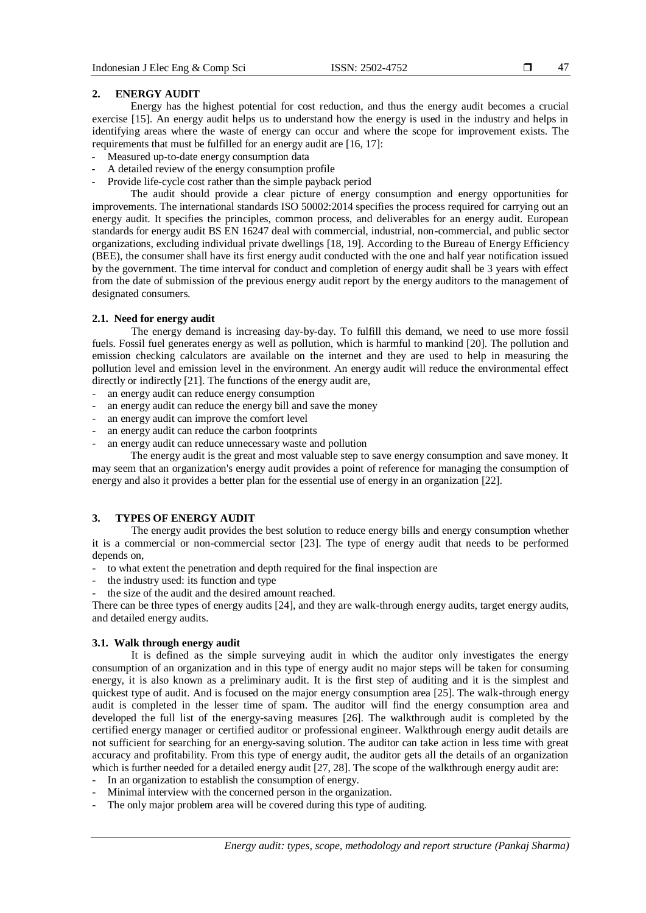47

#### **2. ENERGY AUDIT**

Energy has the highest potential for cost reduction, and thus the energy audit becomes a crucial exercise [15]. An energy audit helps us to understand how the energy is used in the industry and helps in identifying areas where the waste of energy can occur and where the scope for improvement exists. The requirements that must be fulfilled for an energy audit are [16, 17]:

- Measured up-to-date energy consumption data
- A detailed review of the energy consumption profile
- Provide life-cycle cost rather than the simple payback period

The audit should provide a clear picture of energy consumption and energy opportunities for improvements. The international standards ISO 50002:2014 specifies the process required for carrying out an energy audit. It specifies the principles, common process, and deliverables for an energy audit. European standards for energy audit BS EN 16247 deal with commercial, industrial, non-commercial, and public sector organizations, excluding individual private dwellings [18, 19]. According to the Bureau of Energy Efficiency (BEE), the consumer shall have its first energy audit conducted with the one and half year notification issued by the government. The time interval for conduct and completion of energy audit shall be 3 years with effect from the date of submission of the previous energy audit report by the energy auditors to the management of designated consumers.

#### **2.1. Need for energy audit**

The energy demand is increasing day-by-day. To fulfill this demand, we need to use more fossil fuels. Fossil fuel generates energy as well as pollution, which is harmful to mankind [20]. The pollution and emission checking calculators are available on the internet and they are used to help in measuring the pollution level and emission level in the environment. An energy audit will reduce the environmental effect directly or indirectly [21]. The functions of the energy audit are,

- an energy audit can reduce energy consumption
- an energy audit can reduce the energy bill and save the money
- an energy audit can improve the comfort level
- an energy audit can reduce the carbon footprints
- an energy audit can reduce unnecessary waste and pollution

The energy audit is the great and most valuable step to save energy consumption and save money. It may seem that an organization's energy audit provides a point of reference for managing the consumption of energy and also it provides a better plan for the essential use of energy in an organization [22].

# **3. TYPES OF ENERGY AUDIT**

The energy audit provides the best solution to reduce energy bills and energy consumption whether it is a commercial or non-commercial sector [23]. The type of energy audit that needs to be performed depends on,

- to what extent the penetration and depth required for the final inspection are
- the industry used: its function and type
- the size of the audit and the desired amount reached.

There can be three types of energy audits [24], and they are walk-through energy audits, target energy audits, and detailed energy audits.

#### **3.1. Walk through energy audit**

It is defined as the simple surveying audit in which the auditor only investigates the energy consumption of an organization and in this type of energy audit no major steps will be taken for consuming energy, it is also known as a preliminary audit. It is the first step of auditing and it is the simplest and quickest type of audit. And is focused on the major energy consumption area [25]. The walk-through energy audit is completed in the lesser time of spam. The auditor will find the energy consumption area and developed the full list of the energy-saving measures [26]. The walkthrough audit is completed by the certified energy manager or certified auditor or professional engineer. Walkthrough energy audit details are not sufficient for searching for an energy-saving solution. The auditor can take action in less time with great accuracy and profitability. From this type of energy audit, the auditor gets all the details of an organization which is further needed for a detailed energy audit [27, 28]. The scope of the walkthrough energy audit are:

- In an organization to establish the consumption of energy.
- Minimal interview with the concerned person in the organization.
- The only major problem area will be covered during this type of auditing.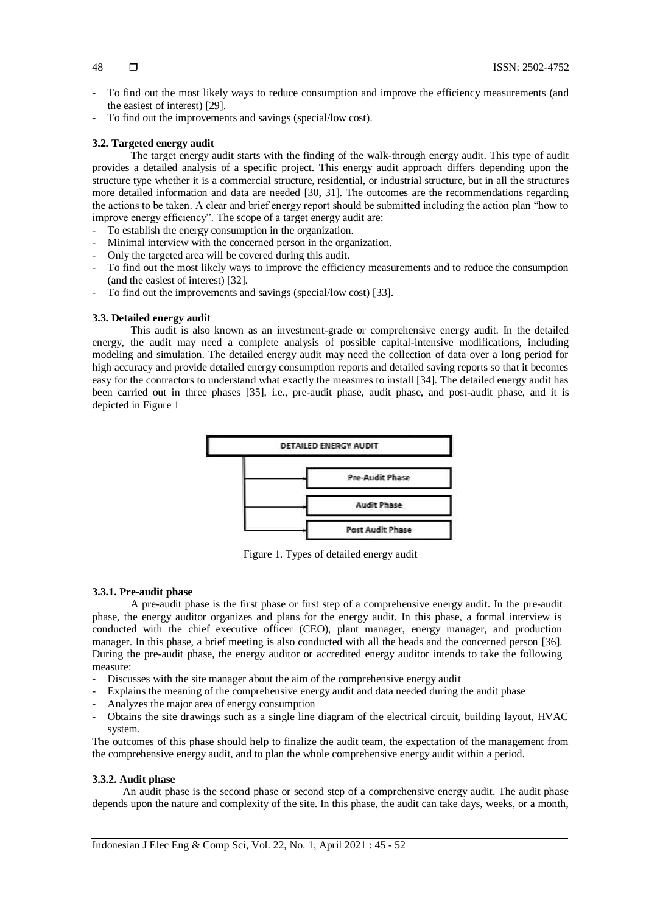- To find out the most likely ways to reduce consumption and improve the efficiency measurements (and the easiest of interest) [29].
- To find out the improvements and savings (special/low cost).

## **3.2. Targeted energy audit**

The target energy audit starts with the finding of the walk-through energy audit. This type of audit provides a detailed analysis of a specific project. This energy audit approach differs depending upon the structure type whether it is a commercial structure, residential, or industrial structure, but in all the structures more detailed information and data are needed [30, 31]. The outcomes are the recommendations regarding the actions to be taken. A clear and brief energy report should be submitted including the action plan "how to improve energy efficiency". The scope of a target energy audit are:

- To establish the energy consumption in the organization.
- Minimal interview with the concerned person in the organization.
- Only the targeted area will be covered during this audit.
- To find out the most likely ways to improve the efficiency measurements and to reduce the consumption (and the easiest of interest) [32].
- To find out the improvements and savings (special/low cost) [33].

#### **3.3. Detailed energy audit**

This audit is also known as an investment-grade or comprehensive energy audit. In the detailed energy, the audit may need a complete analysis of possible capital-intensive modifications, including modeling and simulation. The detailed energy audit may need the collection of data over a long period for high accuracy and provide detailed energy consumption reports and detailed saving reports so that it becomes easy for the contractors to understand what exactly the measures to install [34]. The detailed energy audit has been carried out in three phases [35], i.e., pre-audit phase, audit phase, and post-audit phase, and it is depicted in Figure 1



Figure 1. Types of detailed energy audit

#### **3.3.1. Pre-audit phase**

A pre-audit phase is the first phase or first step of a comprehensive energy audit. In the pre-audit phase, the energy auditor organizes and plans for the energy audit. In this phase, a formal interview is conducted with the chief executive officer (CEO), plant manager, energy manager, and production manager. In this phase, a brief meeting is also conducted with all the heads and the concerned person [36]. During the pre-audit phase, the energy auditor or accredited energy auditor intends to take the following measure:

- Discusses with the site manager about the aim of the comprehensive energy audit
- Explains the meaning of the comprehensive energy audit and data needed during the audit phase
- Analyzes the major area of energy consumption
- Obtains the site drawings such as a single line diagram of the electrical circuit, building layout, HVAC system.

The outcomes of this phase should help to finalize the audit team, the expectation of the management from the comprehensive energy audit, and to plan the whole comprehensive energy audit within a period.

# **3.3.2. Audit phase**

An audit phase is the second phase or second step of a comprehensive energy audit. The audit phase depends upon the nature and complexity of the site. In this phase, the audit can take days, weeks, or a month,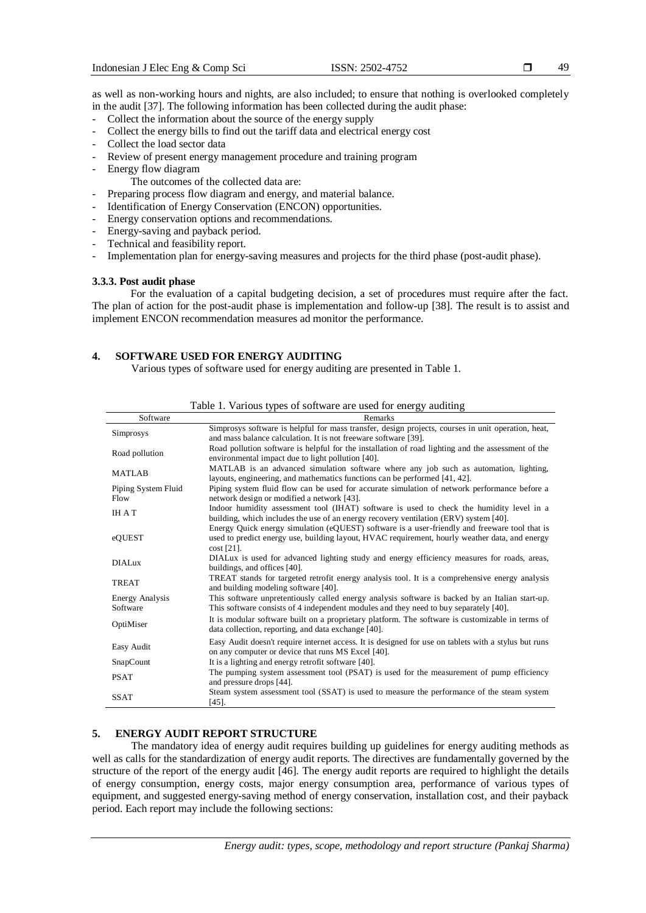as well as non-working hours and nights, are also included; to ensure that nothing is overlooked completely in the audit [37]. The following information has been collected during the audit phase:

- Collect the information about the source of the energy supply
- Collect the energy bills to find out the tariff data and electrical energy cost
- Collect the load sector data
- Review of present energy management procedure and training program
- Energy flow diagram
	- The outcomes of the collected data are:
- Preparing process flow diagram and energy, and material balance.
- Identification of Energy Conservation (ENCON) opportunities.
- Energy conservation options and recommendations.
- Energy-saving and payback period.
- Technical and feasibility report.
- Implementation plan for energy-saving measures and projects for the third phase (post-audit phase).

# **3.3.3. Post audit phase**

For the evaluation of a capital budgeting decision, a set of procedures must require after the fact. The plan of action for the post-audit phase is implementation and follow-up [38]. The result is to assist and implement ENCON recommendation measures ad monitor the performance.

# **4. SOFTWARE USED FOR ENERGY AUDITING**

Various types of software used for energy auditing are presented in Table 1.

|                             | Table 1. Various types of software are used for energy auditing                                                                                                                                                 |
|-----------------------------|-----------------------------------------------------------------------------------------------------------------------------------------------------------------------------------------------------------------|
| Software                    | Remarks                                                                                                                                                                                                         |
| Simprosys                   | Simprosys software is helpful for mass transfer, design projects, courses in unit operation, heat,<br>and mass balance calculation. It is not freeware software [39].                                           |
| Road pollution              | Road pollution software is helpful for the installation of road lighting and the assessment of the<br>environmental impact due to light pollution [40].                                                         |
| <b>MATLAB</b>               | MATLAB is an advanced simulation software where any job such as automation, lighting,<br>layouts, engineering, and mathematics functions can be performed [41, 42].                                             |
| Piping System Fluid<br>Flow | Piping system fluid flow can be used for accurate simulation of network performance before a<br>network design or modified a network [43].                                                                      |
| <b>IHAT</b>                 | Indoor humidity assessment tool (IHAT) software is used to check the humidity level in a<br>building, which includes the use of an energy recovery ventilation (ERV) system [40].                               |
| eQUEST                      | Energy Quick energy simulation (eQUEST) software is a user-friendly and freeware tool that is<br>used to predict energy use, building layout, HVAC requirement, hourly weather data, and energy<br>$cost$ [21]. |
| <b>DIALux</b>               | DIALux is used for advanced lighting study and energy efficiency measures for roads, areas,<br>buildings, and offices [40].                                                                                     |
| TREAT                       | TREAT stands for targeted retrofit energy analysis tool. It is a comprehensive energy analysis<br>and building modeling software [40].                                                                          |
| Energy Analysis<br>Software | This software unpretentiously called energy analysis software is backed by an Italian start-up.<br>This software consists of 4 independent modules and they need to buy separately [40].                        |
| OptiMiser                   | It is modular software built on a proprietary platform. The software is customizable in terms of<br>data collection, reporting, and data exchange [40].                                                         |
| Easy Audit                  | Easy Audit doesn't require internet access. It is designed for use on tablets with a stylus but runs<br>on any computer or device that runs MS Excel [40].                                                      |
| SnapCount                   | It is a lighting and energy retrofit software [40].                                                                                                                                                             |
| <b>PSAT</b>                 | The pumping system assessment tool (PSAT) is used for the measurement of pump efficiency<br>and pressure drops [44].                                                                                            |
| <b>SSAT</b>                 | Steam system assessment tool (SSAT) is used to measure the performance of the steam system<br>$[45]$ .                                                                                                          |

## **5. ENERGY AUDIT REPORT STRUCTURE**

The mandatory idea of energy audit requires building up guidelines for energy auditing methods as well as calls for the standardization of energy audit reports. The directives are fundamentally governed by the structure of the report of the energy audit [46]. The energy audit reports are required to highlight the details of energy consumption, energy costs, major energy consumption area, performance of various types of equipment, and suggested energy-saving method of energy conservation, installation cost, and their payback period. Each report may include the following sections: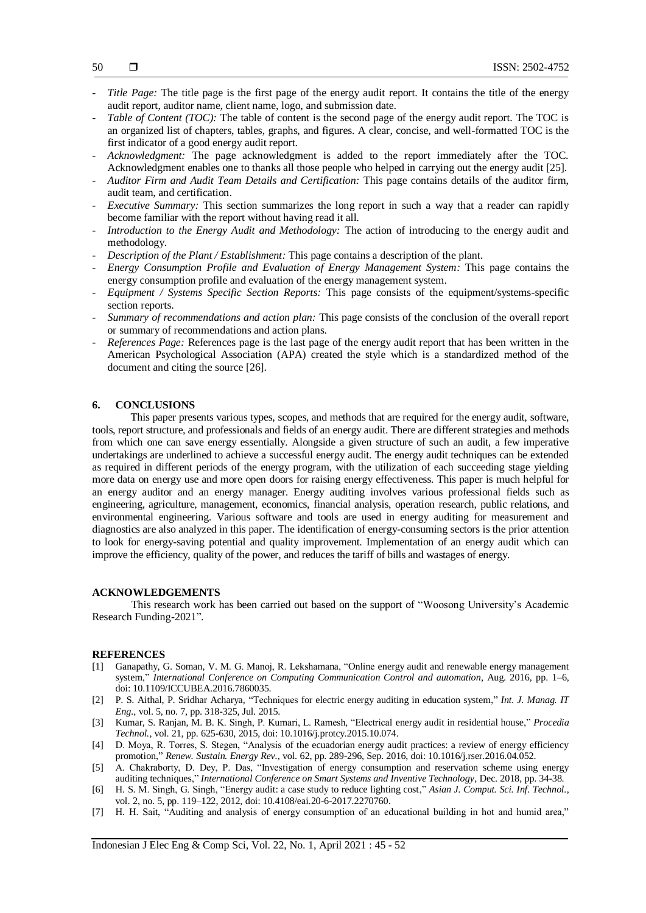- 50
- *Title Page:* The title page is the first page of the energy audit report. It contains the title of the energy audit report, auditor name, client name, logo, and submission date.
- *Table of Content (TOC):* The table of content is the second page of the energy audit report. The TOC is an organized list of chapters, tables, graphs, and figures. A clear, concise, and well-formatted TOC is the first indicator of a good energy audit report.
- *Acknowledgment:* The page acknowledgment is added to the report immediately after the TOC. Acknowledgment enables one to thanks all those people who helped in carrying out the energy audit [25].
- *Auditor Firm and Audit Team Details and Certification:* This page contains details of the auditor firm, audit team, and certification.
- *Executive Summary:* This section summarizes the long report in such a way that a reader can rapidly become familiar with the report without having read it all.
- *Introduction to the Energy Audit and Methodology:* The action of introducing to the energy audit and methodology.
- *Description of the Plant / Establishment:* This page contains a description of the plant.
- *Energy Consumption Profile and Evaluation of Energy Management System:* This page contains the energy consumption profile and evaluation of the energy management system.
- *Equipment / Systems Specific Section Reports:* This page consists of the equipment/systems-specific section reports.
- *Summary of recommendations and action plan:* This page consists of the conclusion of the overall report or summary of recommendations and action plans.
- *References Page:* References page is the last page of the energy audit report that has been written in the American Psychological Association (APA) created the style which is a standardized method of the document and citing the source [26].

#### **6. CONCLUSIONS**

This paper presents various types, scopes, and methods that are required for the energy audit, software, tools, report structure, and professionals and fields of an energy audit. There are different strategies and methods from which one can save energy essentially. Alongside a given structure of such an audit, a few imperative undertakings are underlined to achieve a successful energy audit. The energy audit techniques can be extended as required in different periods of the energy program, with the utilization of each succeeding stage yielding more data on energy use and more open doors for raising energy effectiveness. This paper is much helpful for an energy auditor and an energy manager. Energy auditing involves various professional fields such as engineering, agriculture, management, economics, financial analysis, operation research, public relations, and environmental engineering. Various software and tools are used in energy auditing for measurement and diagnostics are also analyzed in this paper. The identification of energy-consuming sectors is the prior attention to look for energy-saving potential and quality improvement. Implementation of an energy audit which can improve the efficiency, quality of the power, and reduces the tariff of bills and wastages of energy.

#### **ACKNOWLEDGEMENTS**

This research work has been carried out based on the support of "Woosong University's Academic Research Funding-2021".

## **REFERENCES**

- [1] Ganapathy, G. Soman, V. M. G. Manoj, R. Lekshamana, "Online energy audit and renewable energy management system," *International Conference on Computing Communication Control and automation*, Aug. 2016, pp. 1–6, doi: 10.1109/ICCUBEA.2016.7860035.
- [2] P. S. Aithal, P. Sridhar Acharya, "Techniques for electric energy auditing in education system," *Int. J. Manag. IT Eng.*, vol. 5, no. 7, pp. 318-325, Jul. 2015.
- [3] Kumar, S. Ranjan, M. B. K. Singh, P. Kumari, L. Ramesh, "Electrical energy audit in residential house," *Procedia Technol.*, vol. 21, pp. 625-630, 2015, doi: 10.1016/j.protcy.2015.10.074.
- [4] D. Moya, R. Torres, S. Stegen, "Analysis of the ecuadorian energy audit practices: a review of energy efficiency promotion," *Renew. Sustain. Energy Rev.*, vol. 62, pp. 289-296, Sep. 2016, doi: 10.1016/j.rser.2016.04.052.
- [5] A. Chakraborty, D. Dey, P. Das, "Investigation of energy consumption and reservation scheme using energy auditing techniques," *International Conference on Smart Systems and Inventive Technology*, Dec. 2018, pp. 34-38.
- [6] H. S. M. Singh, G. Singh, "Energy audit: a case study to reduce lighting cost," *Asian J. Comput. Sci. Inf. Technol.*, vol. 2, no. 5, pp. 119–122, 2012, doi: 10.4108/eai.20-6-2017.2270760.
- [7] H. H. Sait, "Auditing and analysis of energy consumption of an educational building in hot and humid area,"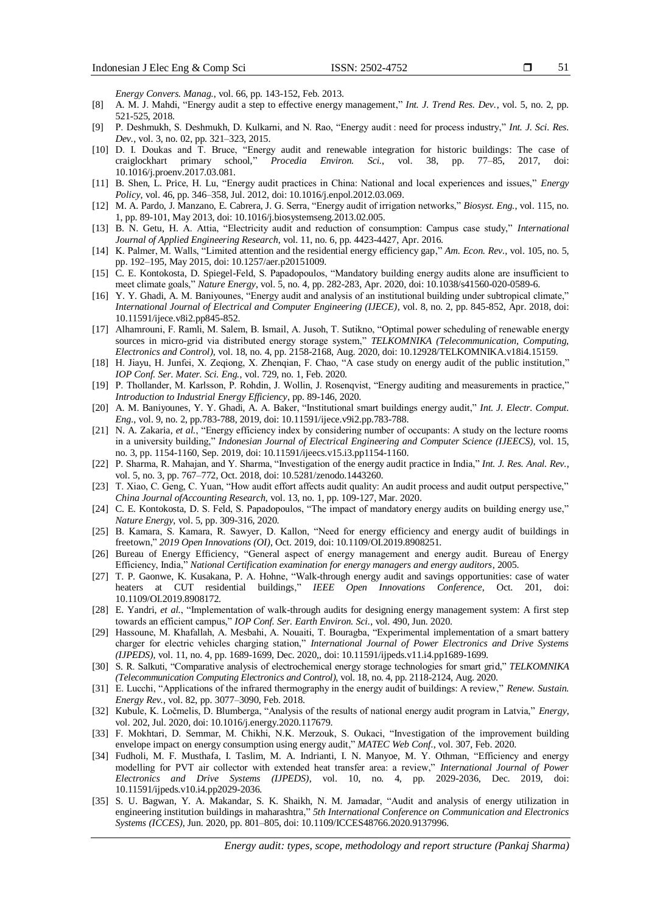51

*Energy Convers. Manag.*, vol. 66, pp. 143-152, Feb. 2013.

- [8] A. M. J. Mahdi, "Energy audit a step to effective energy management," *Int. J. Trend Res. Dev.*, vol. 5, no. 2, pp. 521-525, 2018.
- [9] P. Deshmukh, S. Deshmukh, D. Kulkarni, and N. Rao, "Energy audit : need for process industry," *Int. J. Sci. Res. Dev.*, vol. 3, no. 02, pp. 321–323, 2015.
- [10] D. I. Doukas and T. Bruce, "Energy audit and renewable integration for historic buildings: The case of craiglockhart primary school," *Procedia Environ. Sci.*, vol. 38, pp. 77–85, 2017, doi: 10.1016/j.proenv.2017.03.081.
- [11] B. Shen, L. Price, H. Lu, "Energy audit practices in China: National and local experiences and issues," *Energy Policy*, vol. 46, pp. 346–358, Jul. 2012, doi[: 10.1016/j.enpol.2012.03.069.](https://doi.org/10.1016/j.enpol.2012.03.069)
- [12] M. A. Pardo, J. Manzano, E. Cabrera, J. G. Serra, "Energy audit of irrigation networks," *Biosyst. Eng.*, vol. 115, no. 1, pp. 89-101, May 2013, doi: 10.1016/j.biosystemseng.2013.02.005.
- [13] B. N. Getu, H. A. Attia, "Electricity audit and reduction of consumption: Campus case study," *International Journal of Applied Engineering Research*, vol. 11, no. 6, pp. 4423-4427, Apr. 2016.
- [14] K. Palmer, M. Walls, "Limited attention and the residential energy efficiency gap," *Am. Econ. Rev.*, vol. 105, no. 5, pp. 192–195, May 2015, doi: 10.1257/aer.p20151009.
- [15] C. E. Kontokosta, D. Spiegel-Feld, S. Papadopoulos, "Mandatory building energy audits alone are insufficient to meet climate goals," *Nature Energy*, vol. 5, no. 4, pp. 282-283, Apr. 2020, doi: 10.1038/s41560-020-0589-6.
- [16] Y. Y. Ghadi, A. M. Baniyounes, "Energy audit and analysis of an institutional building under subtropical climate," *International Journal of Electrical and Computer Engineering (IJECE)*, vol. 8, no. 2, pp. 845-852, Apr. 2018, doi: [10.11591/ijece.v8i2.pp845-852.](https://www.researchgate.net/deref/http%3A%2F%2Fdx.doi.org%2F10.11591%2Fijece.v8i2.pp845-852)
- [17] Alhamrouni, F. Ramli, M. Salem, B. Ismail, A. Jusoh, T. Sutikno, "Optimal power scheduling of renewable energy sources in micro-grid via distributed energy storage system," *TELKOMNIKA (Telecommunication, Computing, Electronics and Control),* vol. 18, no. 4, pp. 2158-2168, Aug. 2020, doi: 10.12928/TELKOMNIKA.v18i4.15159.
- [18] H. Jiayu, H. Junfei, X. Zeqiong, X. Zhenqian, F. Chao, "A case study on energy audit of the public institution," *IOP Conf. Ser. Mater. Sci. Eng.*, vol. 729, no. 1, Feb. 2020.
- [19] P. Thollander, M. Karlsson, P. Rohdin, J. Wollin, J. Rosenqvist, "Energy auditing and measurements in practice," *Introduction to Industrial Energy Efficiency*, pp. 89-146, 2020.
- [20] A. M. Baniyounes, Y. Y. Ghadi, A. A. Baker, "Institutional smart buildings energy audit," *Int. J. Electr. Comput. Eng.*, vol. 9, no. 2, pp.783-788, 2019, doi: 10.11591/ijece.v9i2.pp.783-788.
- [21] N. A. Zakaria, *et al.*, "Energy efficiency index by considering number of occupants: A study on the lecture rooms in a university building," *Indonesian Journal of Electrical Engineering and Computer Science (IJEECS),* vol. 15, no. 3, pp. 1154-1160, Sep. 2019, doi[: 10.11591/ijeecs.v15.i3.pp1154-1160.](https://www.researchgate.net/deref/http%3A%2F%2Fdx.doi.org%2F10.11591%2Fijeecs.v15.i3.pp1154-1160)
- [22] P. Sharma, R. Mahajan, and Y. Sharma, "Investigation of the energy audit practice in India," *Int. J. Res. Anal. Rev.*, vol. 5, no. 3, pp. 767–772, Oct. 2018, doi: 10.5281/zenodo.1443260.
- [23] T. Xiao, C. Geng, C. Yuan, "How audit effort affects audit quality: An audit process and audit output perspective," *China Journal ofAccounting Research*, vol. 13, no. 1, pp. 109-127, Mar. 2020.
- [24] C. E. Kontokosta, D. S. Feld, S. Papadopoulos, "The impact of mandatory energy audits on building energy use," *Nature Energy*, vol. 5, pp. 309-316, 2020.
- [25] B. Kamara, S. Kamara, R. Sawyer, D. Kallon, "Need for energy efficiency and energy audit of buildings in freetown," *2019 Open Innovations (OI)*, Oct. 2019, doi: 10.1109/OI.2019.8908251.
- [26] Bureau of Energy Efficiency, "General aspect of energy management and energy audit. Bureau of Energy Efficiency, India," *National Certification examination for energy managers and energy auditors*, 2005.
- [27] T. P. Gaonwe, K. Kusakana, P. A. Hohne, "Walk-through energy audit and savings opportunities: case of water heaters at CUT residential buildings," *IEEE Open Innovations Conference*, Oct. 201, doi: 10.1109/OI.2019.8908172.
- [28] E. Yandri, *et al.*, "Implementation of walk-through audits for designing energy management system: A first step towards an efficient campus," *IOP Conf. Ser. Earth Environ. Sci.*, vol. 490, Jun. 2020.
- [29] Hassoune, M. Khafallah, A. Mesbahi, A. Nouaiti, T. Bouragba, "Experimental implementation of a smart battery charger for electric vehicles charging station," *International Journal of Power Electronics and Drive Systems (IJPEDS)*, vol. 11, no. 4, pp. 1689-1699, Dec. 2020,, doi: [10.11591/ijpeds.v11.i4.pp1689-1699.](https://www.researchgate.net/deref/http%3A%2F%2Fdx.doi.org%2F10.11591%2Fijpeds.v11.i4.pp1689-1699)
- [30] S. R. Salkuti, "Comparative analysis of electrochemical energy storage technologies for smart grid," *TELKOMNIKA (Telecommunication Computing Electronics and Control)*, vol. 18, no. 4, pp. 2118-2124, Aug. 2020.
- [31] E. Lucchi, "Applications of the infrared thermography in the energy audit of buildings: A review," *Renew. Sustain. Energy Rev.*, vol. 82, pp. 3077–3090, Feb. 2018.
- [32] Kubule, K. Ločmelis, D. Blumberga, "Analysis of the results of national energy audit program in Latvia," *Energy*, vol. 202, Jul. 2020, doi: 10.1016/j.energy.2020.117679.
- [33] F. Mokhtari, D. Semmar, M. Chikhi, N.K. Merzouk, S. Oukaci, "Investigation of the improvement building envelope impact on energy consumption using energy audit," *MATEC Web Conf.*, vol. 307, Feb. 2020.
- [34] Fudholi, M. F. Musthafa, I. Taslim, M. A. Indrianti, I. N. Manyoe, M. Y. Othman, "Efficiency and energy modelling for PVT air collector with extended heat transfer area: a review," *International Journal of Power Electronics and Drive Systems (IJPEDS)*, vol. 10, no. 4, pp. 2029-2036, Dec. 2019, doi: [10.11591/ijpeds.v10.i4.pp2029-2036.](https://www.researchgate.net/deref/http%3A%2F%2Fdx.doi.org%2F10.11591%2Fijpeds.v10.i4.pp2029-2036)
- [35] S. U. Bagwan, Y. A. Makandar, S. K. Shaikh, N. M. Jamadar, "Audit and analysis of energy utilization in engineering institution buildings in maharashtra," *5th International Conference on Communication and Electronics Systems (ICCES)*, Jun. 2020, pp. 801–805, doi: 10.1109/ICCES48766.2020.9137996.